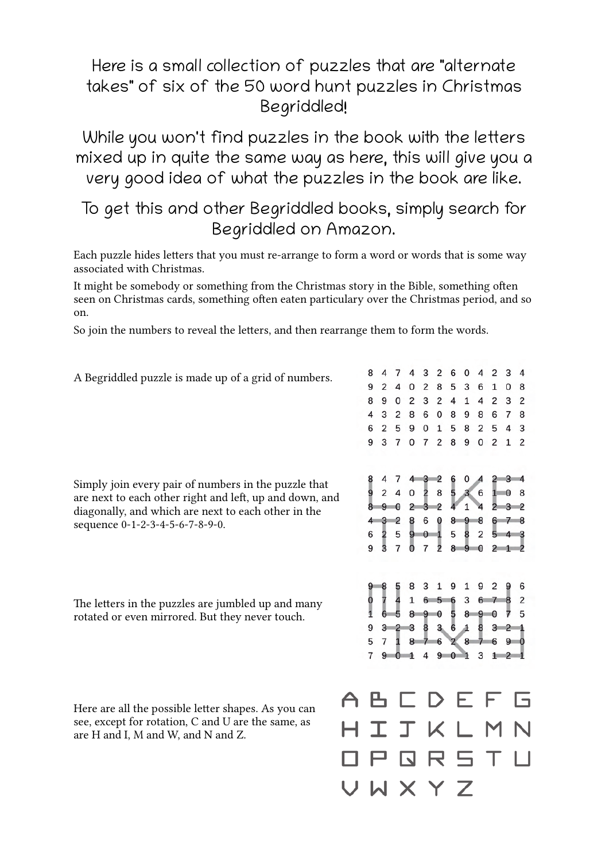## Here is a small collection of puzzles that are "alternate takes" of six of the 50 word hunt puzzles in Christmas Begriddled!

While you won't find puzzles in the book with the letters mixed up in quite the same way as here, this will give you a very good idea of what the puzzles in the book are like.

## To get this and other Begriddled books, simply search for Begriddled on Amazon.

Each puzzle hides letters that you must re-arrange to form a word or words that is some way associated with Christmas.

It might be somebody or something from the Christmas story in the Bible, something often seen on Christmas cards, something often eaten particulary over the Christmas period, and so on.

So join the numbers to reveal the letters, and then rearrange them to form the words.

A Begriddled puzzle is made up of a grid of numbers.

Simply join every pair of numbers in the puzzle that are next to each other right and left, up and down, and diagonally, and which are next to each other in the sequence 0-1-2-3-4-5-6-7-8-9-0.

The letters in the puzzles are jumbled up and many rotated or even mirrored. But they never touch.

Here are all the possible letter shapes. As you can see, except for rotation, C and U are the same, as are H and I, M and W, and N and Z.

|           | 8              | 4              | $\overline{7}$ | 4              | 3                       | $\overline{2}$ | 6    |                                 | 0 <sub>4</sub> | $\overline{2}$                                 | 3            | $\overline{4}$          |  |
|-----------|----------------|----------------|----------------|----------------|-------------------------|----------------|------|---------------------------------|----------------|------------------------------------------------|--------------|-------------------------|--|
|           | $\overline{9}$ | $\overline{2}$ | 4              | 0              | $\overline{\mathbf{c}}$ |                | 8 5  | 3                               | 6              | $\mathbf 1$                                    | 0            | 8                       |  |
|           | 8              | 9              | 0              | $\overline{2}$ | 3                       | $\overline{2}$ | 4    | $\mathbf 1$                     | 4              |                                                | $2 \quad 3$  | 2                       |  |
|           | $\overline{4}$ | 3              | $\overline{2}$ | 8              | 6                       | $\overline{0}$ | 8    | 9                               | 8              |                                                | 6 7          | 8                       |  |
|           | 6              | $\overline{2}$ |                | 5 9            | 0                       | $\mathbf{1}$   | 5    | 8                               | $\overline{2}$ |                                                |              | 543                     |  |
|           | 9              | 3              | $\overline{7}$ | 0              | $\overline{7}$          | 2              | 8    | 9                               | 0              | $\overline{c}$                                 | $\mathbf{1}$ | $\overline{2}$          |  |
|           | 8              | 924            |                |                | $0\quad 2\quad 8$       |                | 5.   | 4 7 4 3 2 6 0 4<br>$\mathbf{3}$ |                | $2 \t3 \t4$<br>6108                            |              |                         |  |
|           |                | 890            |                |                | $2324$                  |                |      | $\mathbf{1}$                    | $\overline{4}$ |                                                |              | $2 \t3 \t2$             |  |
|           |                | 432            |                |                |                         |                |      |                                 |                | 860898678                                      |              |                         |  |
|           |                | 6 2 5          |                |                | 901                     |                |      |                                 |                | 5 8 2 5 4 3                                    |              |                         |  |
|           |                | 9 3 7          |                |                | $0 \t7 \t2$             |                |      |                                 |                | 8 9 0 2 1 2                                    |              |                         |  |
|           |                |                |                |                |                         |                |      |                                 |                |                                                |              |                         |  |
|           | 9              | -8<br>7        | 58             |                | $\overline{3}$          | 1              |      |                                 |                | 9 1 9 2                                        |              | 96                      |  |
|           | Ō<br>1         |                | $6\quad 5$     | $4\quad1$      |                         |                |      |                                 |                | 6 5 6 3 6 7 8 2<br>89058907                    |              | 5                       |  |
|           | 9              |                |                |                |                         |                |      |                                 |                |                                                |              |                         |  |
|           | 5              |                |                |                |                         |                |      |                                 |                | 3 2 3 8 3 6 1 8 3 2 1<br>7 1 8 7 6 2 8 7 6 9 0 |              |                         |  |
|           | $\overline{7}$ |                | 901            |                |                         |                | 4901 |                                 | 3              | $1\quad2\quad1$                                |              |                         |  |
|           |                |                |                |                |                         |                |      |                                 |                |                                                |              |                         |  |
| A         |                |                |                |                |                         |                |      | BCDEF                           |                |                                                |              | G                       |  |
|           | HI.            |                | <b>T</b>       |                | KL                      |                |      |                                 |                | M                                              |              | $\overline{\mathsf{N}}$ |  |
| $\Box$    | P.             |                |                | 口              |                         | RST            |      |                                 |                |                                                |              | $\sqcup$                |  |
| $\bigcup$ |                | WX             |                |                |                         | Y              |      | $\overline{Z}$                  |                |                                                |              |                         |  |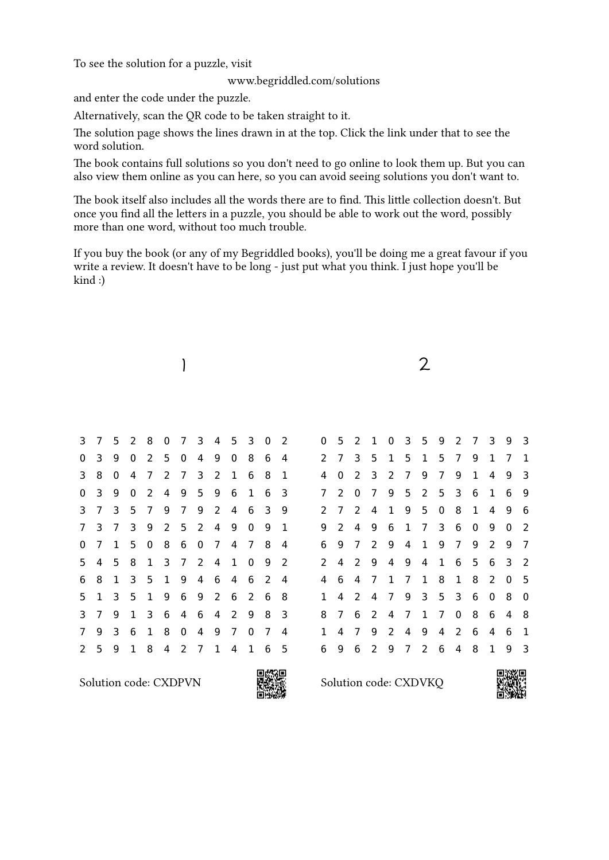To see the solution for a puzzle, visit

www.begriddled.com/solutions

and enter the code under the puzzle.

Alternatively, scan the QR code to be taken straight to it.

The solution page shows the lines drawn in at the top. Click the link under that to see the word solution.

The book contains full solutions so you don't need to go online to look them up. But you can also view them online as you can here, so you can avoid seeing solutions you don't want to.

The book itself also includes all the words there are to find. This little collection doesn't. But once you find all the letters in a puzzle, you should be able to work out the word, possibly more than one word, without too much trouble.

If you buy the book (or any of my Begriddled books), you'll be doing me a great favour if you write a review. It doesn't have to be long - just put what you think. I just hope you'll be kind :)



Solution code: CXDPVN



Solution code: CXDVKQ

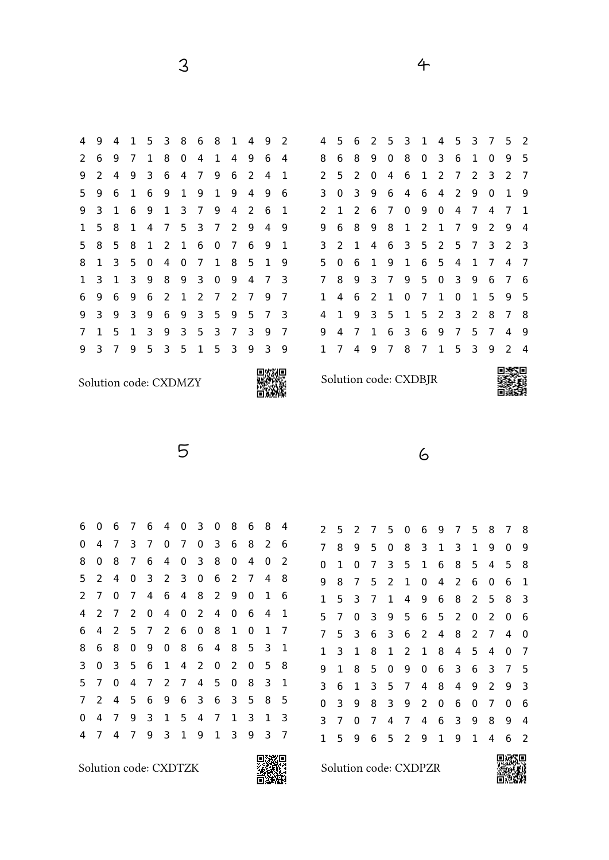3

Solution code: CXDMZY



6

2 5 2 7 5 0 6 9 7 5 8 7 8

4

Solution code: CXDBJR



5

| 0 | 6 | $7^{\circ}$           |                |                     |                                                                              |                                                                              | 0                                                                       | 8                                                                       | 6 | 8 | 4 |
|---|---|-----------------------|----------------|---------------------|------------------------------------------------------------------------------|------------------------------------------------------------------------------|-------------------------------------------------------------------------|-------------------------------------------------------------------------|---|---|---|
| 4 | 7 | 3                     |                | $\mathbf{0}$        | 7 <sup>7</sup>                                                               | 0                                                                            | 3                                                                       | 6                                                                       | 8 | 2 | 6 |
| 0 | 8 | 7                     | 6              | 4                   | $\mathbf 0$                                                                  | 3                                                                            | 8                                                                       | 0                                                                       | 4 | 0 | 2 |
| 2 | 4 | 0                     |                |                     | 3                                                                            | 0                                                                            | 6                                                                       | 2                                                                       | 7 | 4 | 8 |
| 7 | 0 | $\overline{7}$        | 4              |                     |                                                                              |                                                                              | $\mathbf{2}$                                                            | 9                                                                       | 0 | 1 | 6 |
| 2 | 7 | $\mathbf{2}^{\prime}$ |                |                     |                                                                              |                                                                              | 4                                                                       | 0                                                                       | 6 | 4 | 1 |
| 4 | 2 | 5                     |                |                     |                                                                              | $\mathbf 0$                                                                  | 8                                                                       | 1                                                                       | 0 | 1 | 7 |
| 6 | 8 | 0                     |                |                     |                                                                              |                                                                              | 4                                                                       | 8                                                                       | 5 | 3 | 1 |
| 0 | 3 |                       | 6              | $\mathbf{1}$        |                                                                              | 2 <sup>1</sup>                                                               | 0                                                                       | $\overline{2}$                                                          | 0 | 5 | 8 |
| 7 | 0 | $\overline{4}$        | 7 <sup>7</sup> |                     |                                                                              |                                                                              | 5                                                                       | 0                                                                       | 8 | 3 | 1 |
| 2 | 4 |                       | 6              |                     |                                                                              |                                                                              | 6                                                                       | 3                                                                       | 5 | 8 | 5 |
| 4 | 7 | 9                     | 3              | 1                   | 5                                                                            | 4                                                                            | 7                                                                       | 1                                                                       | 3 | 1 | 3 |
| 7 | 4 | 7                     | 9              | 3                   | 1                                                                            | 9                                                                            | 1                                                                       | 3                                                                       | 9 | 3 | 7 |
|   |   |                       |                | 5 <sub>1</sub><br>5 | 6<br>7 <sup>7</sup><br>3 <sup>7</sup><br>$\mathbf{0}$<br>7 <sup>7</sup><br>9 | 4<br>$2^{\circ}$<br>6<br>4<br>$2^{\circ}$<br>$\mathbf 0$<br>$2^{\circ}$<br>9 | $\mathbf{0}$<br>4<br>$\mathbf{0}$<br>6<br>8<br>4<br>7 <sup>7</sup><br>6 | $\mathbf{3}$<br>8<br>$2^{\circ}$<br>6<br>$\overline{4}$<br>$\mathbf{3}$ |   |   |   |

Solution code: CXDTZK



Solution code: CXDPZR